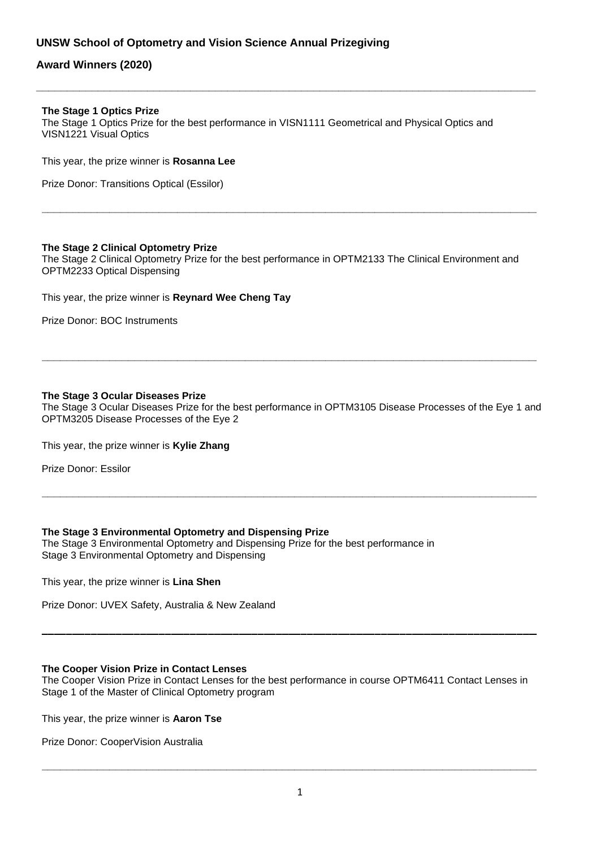# **UNSW School of Optometry and Vision Science Annual Prizegiving**

# **Award Winners (2020)**

### **The Stage 1 Optics Prize**

The Stage 1 Optics Prize for the best performance in VISN1111 Geometrical and Physical Optics and VISN1221 Visual Optics

**\_\_\_\_\_\_\_\_\_\_\_\_\_\_\_\_\_\_\_\_\_\_\_\_\_\_\_\_\_\_\_\_\_\_\_\_\_\_\_\_\_\_\_\_\_\_\_\_\_\_\_\_\_\_\_\_\_\_\_\_\_\_\_\_\_\_\_\_\_\_\_\_\_\_\_\_\_\_\_\_\_**

This year, the prize winner is **Rosanna Lee**

Prize Donor: Transitions Optical (Essilor)

## **The Stage 2 Clinical Optometry Prize**

The Stage 2 Clinical Optometry Prize for the best performance in OPTM2133 The Clinical Environment and OPTM2233 Optical Dispensing

**\_\_\_\_\_\_\_\_\_\_\_\_\_\_\_\_\_\_\_\_\_\_\_\_\_\_\_\_\_\_\_\_\_\_\_\_\_\_\_\_\_\_\_\_\_\_\_\_\_\_\_\_\_\_\_\_\_\_\_\_\_\_\_\_\_\_\_\_\_\_\_\_\_\_\_\_\_\_\_\_\_\_\_\_\_**

This year, the prize winner is **Reynard Wee Cheng Tay**

Prize Donor: BOC Instruments

## **The Stage 3 Ocular Diseases Prize**

The Stage 3 Ocular Diseases Prize for the best performance in OPTM3105 Disease Processes of the Eye 1 and OPTM3205 Disease Processes of the Eye 2

**\_\_\_\_\_\_\_\_\_\_\_\_\_\_\_\_\_\_\_\_\_\_\_\_\_\_\_\_\_\_\_\_\_\_\_\_\_\_\_\_\_\_\_\_\_\_\_\_\_\_\_\_\_\_\_\_\_\_\_\_\_\_\_\_\_\_\_\_\_\_\_\_\_\_\_\_\_\_\_\_\_\_\_\_\_**

**\_\_\_\_\_\_\_\_\_\_\_\_\_\_\_\_\_\_\_\_\_\_\_\_\_\_\_\_\_\_\_\_\_\_\_\_\_\_\_\_\_\_\_\_\_\_\_\_\_\_\_\_\_\_\_\_\_\_\_\_\_\_\_\_\_\_\_\_\_\_\_\_\_\_\_\_\_\_\_\_\_\_\_\_\_**

This year, the prize winner is **Kylie Zhang**

Prize Donor: Essilor

# **The Stage 3 Environmental Optometry and Dispensing Prize**

The Stage 3 Environmental Optometry and Dispensing Prize for the best performance in Stage 3 Environmental Optometry and Dispensing

This year, the prize winner is **Lina Shen**

Prize Donor: UVEX Safety, Australia & New Zealand

# **The Cooper Vision Prize in Contact Lenses**

The Cooper Vision Prize in Contact Lenses for the best performance in course OPTM6411 Contact Lenses in Stage 1 of the Master of Clinical Optometry program

This year, the prize winner is **Aaron Tse**

Prize Donor: CooperVision Australia

**\_\_\_\_\_\_\_\_\_\_\_\_\_\_\_\_\_\_\_\_\_\_\_\_\_\_\_\_\_\_\_\_\_\_\_\_\_\_\_\_\_\_\_\_\_\_\_\_\_\_\_\_\_\_\_\_\_\_\_\_\_\_\_\_\_\_\_\_\_\_\_\_\_\_\_\_\_\_\_\_\_\_\_\_\_**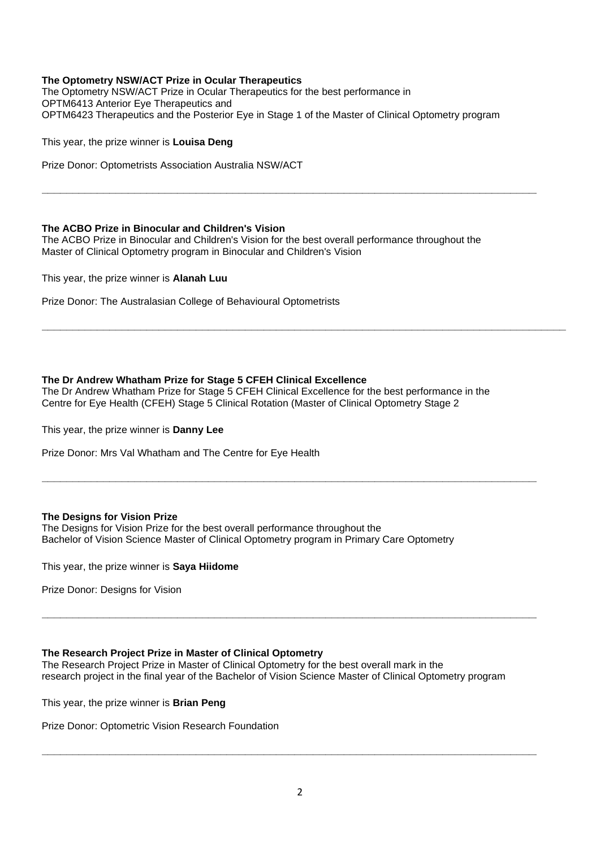# **The Optometry NSW/ACT Prize in Ocular Therapeutics**

The Optometry NSW/ACT Prize in Ocular Therapeutics for the best performance in OPTM6413 Anterior Eye Therapeutics and OPTM6423 Therapeutics and the Posterior Eye in Stage 1 of the Master of Clinical Optometry program

**\_\_\_\_\_\_\_\_\_\_\_\_\_\_\_\_\_\_\_\_\_\_\_\_\_\_\_\_\_\_\_\_\_\_\_\_\_\_\_\_\_\_\_\_\_\_\_\_\_\_\_\_\_\_\_\_\_\_\_\_\_\_\_\_\_\_\_\_\_\_\_\_\_\_\_\_\_\_\_\_\_\_\_\_\_**

This year, the prize winner is **Louisa Deng**

Prize Donor: Optometrists Association Australia NSW/ACT

# **The ACBO Prize in Binocular and Children's Vision**

The ACBO Prize in Binocular and Children's Vision for the best overall performance throughout the Master of Clinical Optometry program in Binocular and Children's Vision

This year, the prize winner is **Alanah Luu**

Prize Donor: The Australasian College of Behavioural Optometrists

# **The Dr Andrew Whatham Prize for Stage 5 CFEH Clinical Excellence**

The Dr Andrew Whatham Prize for Stage 5 CFEH Clinical Excellence for the best performance in the Centre for Eye Health (CFEH) Stage 5 Clinical Rotation (Master of Clinical Optometry Stage 2

This year, the prize winner is **Danny Lee**

Prize Donor: Mrs Val Whatham and The Centre for Eye Health

#### **The Designs for Vision Prize**

The Designs for Vision Prize for the best overall performance throughout the Bachelor of Vision Science Master of Clinical Optometry program in Primary Care Optometry

This year, the prize winner is **Saya Hiidome**

Prize Donor: Designs for Vision

# **The Research Project Prize in Master of Clinical Optometry**

The Research Project Prize in Master of Clinical Optometry for the best overall mark in the research project in the final year of the Bachelor of Vision Science Master of Clinical Optometry program

This year, the prize winner is **Brian Peng**

Prize Donor: Optometric Vision Research Foundation

**\_\_\_\_\_\_\_\_\_\_\_\_\_\_\_\_\_\_\_\_\_\_\_\_\_\_\_\_\_\_\_\_\_\_\_\_\_\_\_\_\_\_\_\_\_\_\_\_\_\_\_\_\_\_\_\_\_\_\_\_\_\_\_\_\_\_\_\_\_\_\_\_\_\_\_\_\_\_\_\_\_\_\_\_\_**

**\_\_\_\_\_\_\_\_\_\_\_\_\_\_\_\_\_\_\_\_\_\_\_\_\_\_\_\_\_\_\_\_\_\_\_\_\_\_\_\_\_\_\_\_\_\_\_\_\_\_\_\_\_\_\_\_\_\_\_\_\_\_\_\_\_\_\_\_\_\_\_\_\_\_\_\_\_\_\_\_\_\_\_\_\_**